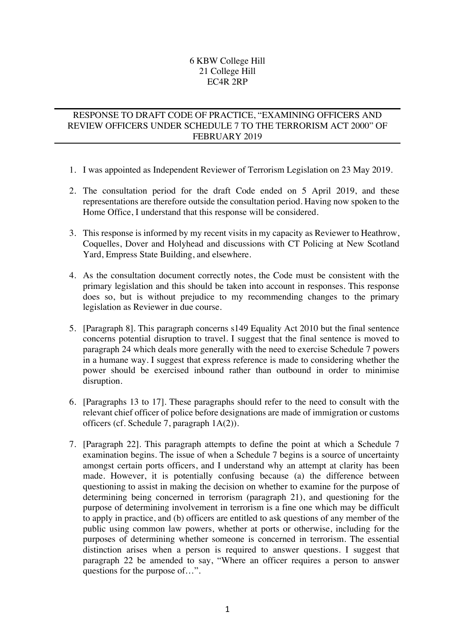## 6 KBW College Hill 21 College Hill EC4R 2RP

## RESPONSE TO DRAFT CODE OF PRACTICE, "EXAMINING OFFICERS AND REVIEW OFFICERS UNDER SCHEDULE 7 TO THE TERRORISM ACT 2000" OF FEBRUARY 2019

- 1. I was appointed as Independent Reviewer of Terrorism Legislation on 23 May 2019.
- 2. The consultation period for the draft Code ended on 5 April 2019, and these representations are therefore outside the consultation period. Having now spoken to the Home Office, I understand that this response will be considered.
- 3. This response is informed by my recent visits in my capacity as Reviewer to Heathrow, Coquelles, Dover and Holyhead and discussions with CT Policing at New Scotland Yard, Empress State Building, and elsewhere.
- 4. As the consultation document correctly notes, the Code must be consistent with the primary legislation and this should be taken into account in responses. This response does so, but is without prejudice to my recommending changes to the primary legislation as Reviewer in due course.
- 5. [Paragraph 8]. This paragraph concerns s149 Equality Act 2010 but the final sentence concerns potential disruption to travel. I suggest that the final sentence is moved to paragraph 24 which deals more generally with the need to exercise Schedule 7 powers in a humane way. I suggest that express reference is made to considering whether the power should be exercised inbound rather than outbound in order to minimise disruption.
- 6. [Paragraphs 13 to 17]. These paragraphs should refer to the need to consult with the relevant chief officer of police before designations are made of immigration or customs officers (cf. Schedule 7, paragraph 1A(2)).
- 7. [Paragraph 22]. This paragraph attempts to define the point at which a Schedule 7 examination begins. The issue of when a Schedule 7 begins is a source of uncertainty amongst certain ports officers, and I understand why an attempt at clarity has been made. However, it is potentially confusing because (a) the difference between questioning to assist in making the decision on whether to examine for the purpose of determining being concerned in terrorism (paragraph 21), and questioning for the purpose of determining involvement in terrorism is a fine one which may be difficult to apply in practice, and (b) officers are entitled to ask questions of any member of the public using common law powers, whether at ports or otherwise, including for the purposes of determining whether someone is concerned in terrorism. The essential distinction arises when a person is required to answer questions. I suggest that paragraph 22 be amended to say, "Where an officer requires a person to answer questions for the purpose of…".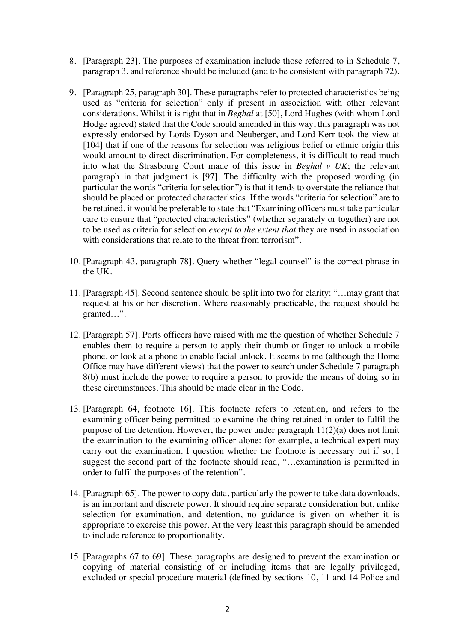- 8. [Paragraph 23]. The purposes of examination include those referred to in Schedule 7, paragraph 3, and reference should be included (and to be consistent with paragraph 72).
- 9. [Paragraph 25, paragraph 30]. These paragraphs refer to protected characteristics being used as "criteria for selection" only if present in association with other relevant considerations. Whilst it is right that in *Beghal* at [50], Lord Hughes (with whom Lord Hodge agreed) stated that the Code should amended in this way, this paragraph was not expressly endorsed by Lords Dyson and Neuberger, and Lord Kerr took the view at [104] that if one of the reasons for selection was religious belief or ethnic origin this would amount to direct discrimination. For completeness, it is difficult to read much into what the Strasbourg Court made of this issue in *Beghal v UK*; the relevant paragraph in that judgment is [97]. The difficulty with the proposed wording (in particular the words "criteria for selection") is that it tends to overstate the reliance that should be placed on protected characteristics. If the words "criteria for selection" are to be retained, it would be preferable to state that "Examining officers must take particular care to ensure that "protected characteristics" (whether separately or together) are not to be used as criteria for selection *except to the extent that* they are used in association with considerations that relate to the threat from terrorism".
- 10. [Paragraph 43, paragraph 78]. Query whether "legal counsel" is the correct phrase in the UK.
- 11. [Paragraph 45]. Second sentence should be split into two for clarity: "…may grant that request at his or her discretion. Where reasonably practicable, the request should be granted…".
- 12. [Paragraph 57]. Ports officers have raised with me the question of whether Schedule 7 enables them to require a person to apply their thumb or finger to unlock a mobile phone, or look at a phone to enable facial unlock. It seems to me (although the Home Office may have different views) that the power to search under Schedule 7 paragraph 8(b) must include the power to require a person to provide the means of doing so in these circumstances. This should be made clear in the Code.
- 13. [Paragraph 64, footnote 16]. This footnote refers to retention, and refers to the examining officer being permitted to examine the thing retained in order to fulfil the purpose of the detention. However, the power under paragraph 11(2)(a) does not limit the examination to the examining officer alone: for example, a technical expert may carry out the examination. I question whether the footnote is necessary but if so, I suggest the second part of the footnote should read, "…examination is permitted in order to fulfil the purposes of the retention".
- 14. [Paragraph 65]. The power to copy data, particularly the power to take data downloads, is an important and discrete power. It should require separate consideration but, unlike selection for examination, and detention, no guidance is given on whether it is appropriate to exercise this power. At the very least this paragraph should be amended to include reference to proportionality.
- 15. [Paragraphs 67 to 69]. These paragraphs are designed to prevent the examination or copying of material consisting of or including items that are legally privileged, excluded or special procedure material (defined by sections 10, 11 and 14 Police and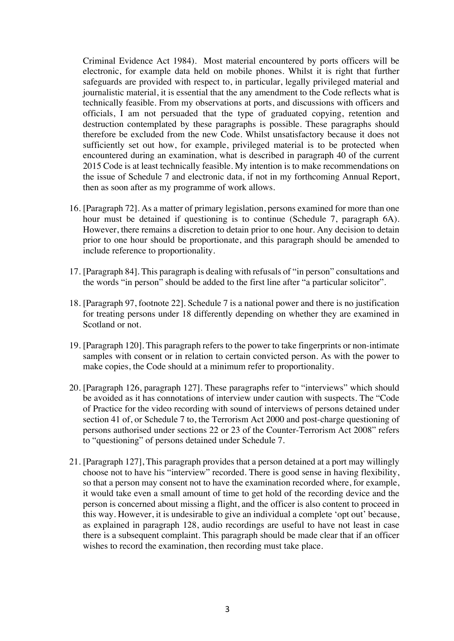Criminal Evidence Act 1984). Most material encountered by ports officers will be electronic, for example data held on mobile phones. Whilst it is right that further safeguards are provided with respect to, in particular, legally privileged material and journalistic material, it is essential that the any amendment to the Code reflects what is technically feasible. From my observations at ports, and discussions with officers and officials, I am not persuaded that the type of graduated copying, retention and destruction contemplated by these paragraphs is possible. These paragraphs should therefore be excluded from the new Code. Whilst unsatisfactory because it does not sufficiently set out how, for example, privileged material is to be protected when encountered during an examination, what is described in paragraph 40 of the current 2015 Code is at least technically feasible. My intention is to make recommendations on the issue of Schedule 7 and electronic data, if not in my forthcoming Annual Report, then as soon after as my programme of work allows.

- 16. [Paragraph 72]. As a matter of primary legislation, persons examined for more than one hour must be detained if questioning is to continue (Schedule 7, paragraph 6A). However, there remains a discretion to detain prior to one hour. Any decision to detain prior to one hour should be proportionate, and this paragraph should be amended to include reference to proportionality.
- 17. [Paragraph 84]. This paragraph is dealing with refusals of "in person" consultations and the words "in person" should be added to the first line after "a particular solicitor".
- 18. [Paragraph 97, footnote 22]. Schedule 7 is a national power and there is no justification for treating persons under 18 differently depending on whether they are examined in Scotland or not.
- 19. [Paragraph 120]. This paragraph refers to the power to take fingerprints or non-intimate samples with consent or in relation to certain convicted person. As with the power to make copies, the Code should at a minimum refer to proportionality.
- 20. [Paragraph 126, paragraph 127]. These paragraphs refer to "interviews" which should be avoided as it has connotations of interview under caution with suspects. The "Code of Practice for the video recording with sound of interviews of persons detained under section 41 of, or Schedule 7 to, the Terrorism Act 2000 and post-charge questioning of persons authorised under sections 22 or 23 of the Counter-Terrorism Act 2008" refers to "questioning" of persons detained under Schedule 7.
- 21. [Paragraph 127], This paragraph provides that a person detained at a port may willingly choose not to have his "interview" recorded. There is good sense in having flexibility, so that a person may consent not to have the examination recorded where, for example, it would take even a small amount of time to get hold of the recording device and the person is concerned about missing a flight, and the officer is also content to proceed in this way. However, it is undesirable to give an individual a complete 'opt out' because, as explained in paragraph 128, audio recordings are useful to have not least in case there is a subsequent complaint. This paragraph should be made clear that if an officer wishes to record the examination, then recording must take place.